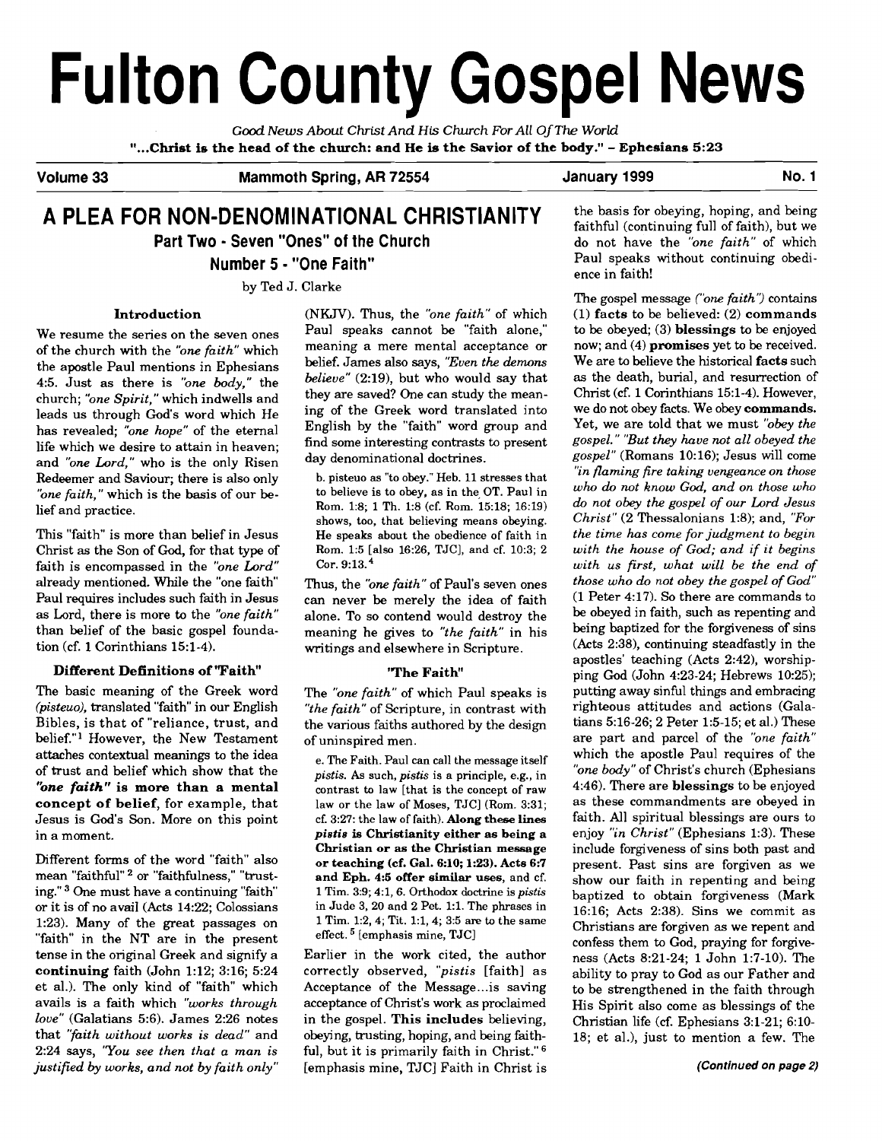# **Fulton County Gospel News**

*Good* **News** *About* **Christ** *And His Church For All* 0 *f The World*  "...Christ is the head of the church: and He is the Savior of the body." - Ephesians 5:23

Volume 33 **Mammoth Spring, AR 72554** January 1999 No. 1

## **A PLEA FOR NON-DENOMINATIONAL CHRISTIANITY Part Two** - **Seven "Ones" of the Church Number 5** - **"One Faith"**

by Ted J. Clarke

#### Introduction

We resume the series on the seven ones of the church with the *"one faith"* which the apostle Paul mentions in Ephesians 4:5. Just as there is *"one body,"* the church; *"one Spirit,"* which indwells and leads us through God's word which He has revealed; *"one hope"* of the eternal life which we desire to attain in heaven; and *"one Lord,"* who is the only Risen Redeemer and Saviour; there is also only *"one faith,"* which is the basis of our belief and practice.

This "faith" is more than belief in Jesus Christ **as** the Son of God, for that type of faith is encompassed in the *"one Lord"*  already mentioned. While the "one faith Paul requires includes such faith in Jesus as Lord, there is more to the *"one faith"*  than belief of the basic gospel foundation (cf. 1 Corinthians 15:l-4).

## Different Definitions of 'Faith"

The basic meaning of the Greek word (pisteuo), translated "faith" in our English Bibles, is that of "reliance, trust, and belief."' However, the New Testament attaches contextual meanings to the idea of trust and belief which show that the "one faith" is more than a mental concept of belief, for example, that Jesus is God's Son. More on this point in a moment.

Different forms of the word "faith" also mean "faithful" <sup>2</sup> or "faithfulness," "trusting." <sup>3</sup> One must have a continuing "faith" or it is of no avail (Acts 14:22; Colossians 1:23). Many of the great passages on "faith" in the NT are in the present tense in the original Greek and signify a continuing faith (John 1:12; 3:16; 5:24 et al.). The only kind of "faith" which avails is a faith which *"works through love"* (Galatians 5:6). James 2:26 notes that *"fiaith without works is dead"* and 2:24 says, *'You see then that a man is justified by works, and not by faith only"* 

(NKJV). Thus, the *"one faith"* of which Paul speaks cannot be "faith alone," meaning a mere mental acceptance or belief. James also says, *"Even the demons believe"* (2:19), but who would say that they are saved? One can study the meaning of the Greek word translated into English by the "faith" word group and find some interesting contrasts to present day denominational doctrines.

b. pisteuo as "to obey." Heb. 11 stresses that to believe is to obey, as in the, OT. Paul in Rom. 1:8; 1 Th. 1:8 (cf. Rom. 15:18; 16:19) shows, too, that believing means obeying. He speaks about the obedience of faith in Rom. 1:5 [also 16:26, TJC], and cf. 10:3; 2 Cor. 9:13.

Thus, the *'one faith"* of Paul's seven ones can never be merely the idea of faith alone. To so contend would destroy the meaning he gives to *"the faith"* in his writings and elsewhere in Scripture.

#### 'The Faith"

The *"one faith"* of which Paul speaks is *"the faith"* of Scripture, in contrast with the various faiths authored by the design of uninspired men.

e. The Faith. Paul can call the message itself *pistis.* As such, *pistis* is a principle, e.g., in contrast to law [that is the concept of raw law or the law of Moses, TJC] (Rom. 3:31; cf. 3:27: the law of faith). **Along these lines**  *pistis* **is Christianity either as being a Christian or as the Christian message or teaching (cf. Gal. 6:10; 1:23). Acts 6:7 and Eph. 4:s offer similar uses,** and cf. 1 Tim. 3:9; 4:1,6. Orthodox doctrine is *pistis*  in Jude 3, 20 and 2 Pet. 1:l. The phrases in 1 Tim. 1:2,4; Tit. 1:1,4; 3:5 are to the same effect.  $5$  [emphasis mine, TJC]

Earlier in the work cited, the author correctly observed, *"pistis* [faith] as Acceptance of the Message... is saving acceptance of Christ's work **as** proclaimed in the gospel. This includes believing, obeying, trusting, hoping, and being faithful, but it is primarily faith in Christ."<sup>6</sup> [emphasis mine, TJC] Faith in Christ is

the basis for obeying, hoping, and being faithful (continuing full of faith), but we do not have the *"one faith"* of which Paul speaks without continuing obedience in faith!

The gospel message *('one faith'?* contains (1) facts to be believed: (2) commands to be obeyed; (3) blessings to be enjoyed now; and (4) promises yet to be received. We are to believe the historical facts such **as** the death, burial, and resurrection of Christ (cf. 1 Corinthians 15:l-4). However, we do not obey facts. We obey commands. Yet, we are told that we must *"obey the gospel." "But they have not all obeyed the gospel"* (Romans 10:16); Jesus will come *'In flaming fire taking vengeance on those who do not know God, and on those who do not obey the gospel of our Lord Jesus Christ"* (2 Thessalonians 1:8); and, *"For the time has come for judgment to begin with the house of God; and if it begins with us first, what will be the end of those who do not obey the gospel of God"*  (1 Peter 4:17). So there are commands to be obeyed in faith, such as repenting and being baptized for the forgiveness of sins (Acts 2:38), continuing steadfastly in the apostles' teaching (Acts 2:42), worshipping God (John 4:23-24; Hebrews 10:25); putting away sinful things and embracing righteous attitudes and actions (Galatians 5:16-26; 2 Peter 1:5-15; et al.) These are part and parcel of the *'one faith"*  which the apostle Paul requires of the *"one body"* of Christ's church (Ephesians 4:46). There are blessings to be enjoyed as these commandments are obeyed in faith. All spiritual blessings are ours to enjoy *"in Christ"* (Ephesians 1:3). These include forgiveness of sins both past and present. Past sins are forgiven **as** we show our faith in repenting and being baptized to obtain forgiveness (Mark 16:16; Acts 2:38). Sins we commit as Christians are forgiven **as** we repent and confess them to God, praying for forgiveness (Acts 8:21-24; 1 John 1:7-10). The ability to pray to God as our Father and to be strengthened in the faith through His Spirit also come as blessings of the Christian life (cf. Ephesians 3:l-21; 6:lO-18; et al.), just to mention a few. The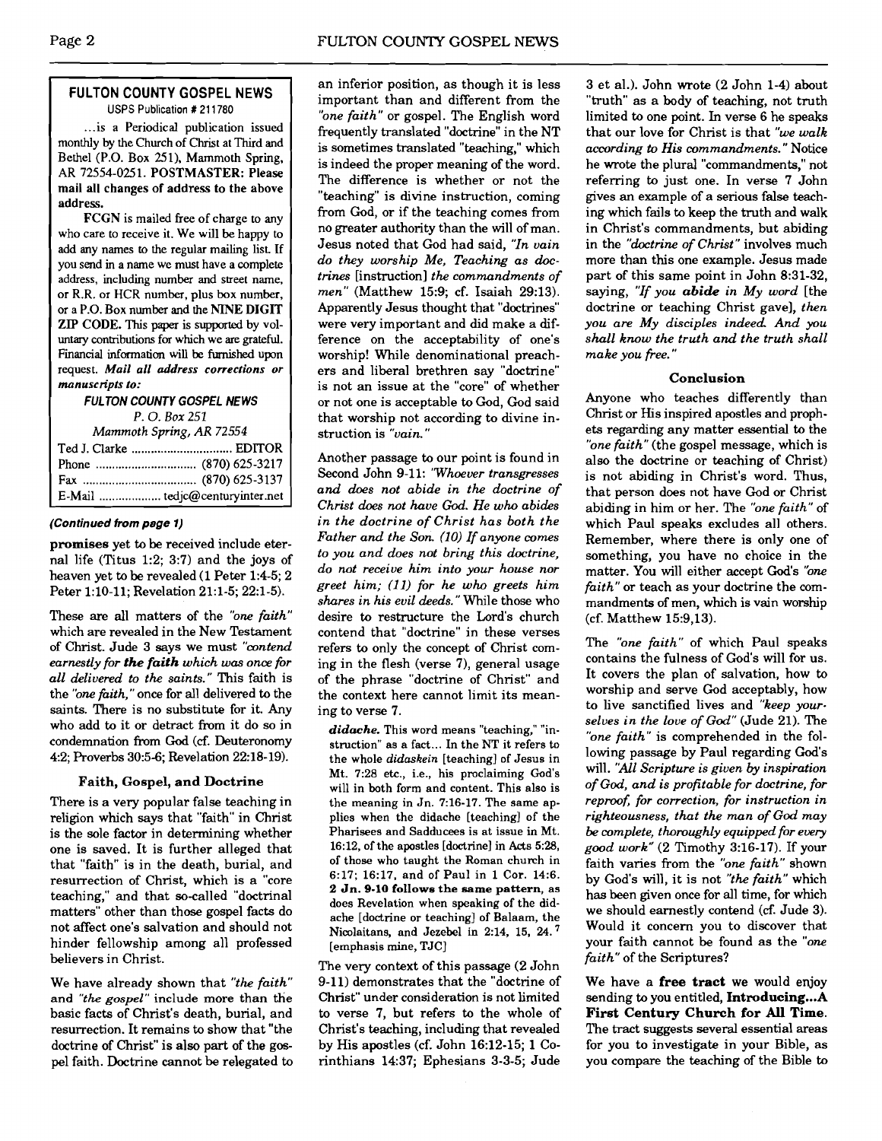### **FULTON COUNTY GOSPEL NEWS**  USPS Publication # 21 1780

... is a Periodical publication issued monthly by the Church of Christ at Third and Bethel (P.O. Box 251). Mammoth Spring, AR 72554-0251. POSTMASTER: Please mail all changes of address to the above address.

FCGN is mailed **free** of charge to any who care to receive it. We will be happy to add any names to the regular mailing list. If you send in a name we must have a complete address, including number and street name, or R.R. or HCR number, plus box number, or a P.O. Box number and the NINE DIGIT **ZIP** CODE. This paper is supported by voluntary contributions for which we are grateful. Financial information will be **furnished** upon request. **Mail** all *address corrections or manuscripts to:* 

**FULTON COUNTY GOSPEL NEWS** 

*P.* 0. *Box 252 Mammoth* **Spring,** *AR 72554* 

| Triummont opting, the resort |  |  |
|------------------------------|--|--|
|                              |  |  |
|                              |  |  |
|                              |  |  |
|                              |  |  |

#### **(Continued from page 1)**

**promises** yet to **be** received include eternal life (Titus 1:2; 3:7) and the joys of heaven yet to be revealed (1 Peter 1:4-5; 2 Peter 1:lO-11; Revelation 21:l-5; 22:l-5).

These are all matters of the *"one faith"*  which are revealed in the New Testament of Christ. Jude 3 says we must *"contend earnestly for the faith which was one for all delivered to the saints."* This faith is the *'bne fiith,* " once for all delivered to the saints. There is no substitute for it. Any who add to it or detract from it do so in condemnation from **God** *(6.* Deuteronomy 42; Proverbs 305-6; Revelation 22:18-19).

#### **Faith, Gospel, and Doctrine**

There is a very popular false teaching in religion which says that "faith" in Christ is the sole factor in determining whether one is saved, It is further alleged that that "faith" is in the death, burial, and resurrection of Christ, which is a "core teaching," and that so-called "doctrinal matters" other than those gospel facts do not affect one's salvation and should not hinder fellowship among all professed believers in Christ.

We have already shown that *"the faith"*  and *"the gospel''* include more than the basic facts of Christ's death, burial, and resurrection. It remains to show that "the doctrine of Christ" is **also** part of the gospel faith. Doctrine cannot be relegated to an inferior position, as though it is less important than and different from the *"one faith"* or gospel. The English word frequently translated "doctrine" in the NT is sometimes translated "teaching," which is indeed the proper meaning of the word. The difference is whether or not the "teaching" is divine instruction, coming from God, or if the teaching comes from no greater authority than the will of man. Jesus noted that God had said, *"In vain do they worship Me, Teaching as doctrines* [instruction] *the commandments of men"* (Matthew 15:9; cf. Isaiah 29:13). Apparently Jesus thought that "doctrines" were very important and did make a difference on the acceptability of one's worship! While denominational preachers and liberal brethren say "doctrine" is not an issue at the "core" of whether or not one is acceptable to God, God said that worship not according to divine instruction is *"vain.* "

Another passage to our point is found in Second John 9-11: *'Whoever transgresses and does not abide in the doctrine of Christ does not have God. He who abides in the doctrine of Christ has both the Father and the Son. (10) If anyone comes to you and does not bring this doctrine, do not receive him into your house nor greet him; (11) for he who greets him shares in his evil deeds."* While those who desire to restructure the Lord's church contend that "doctrine" in these verses refers to only the concept of Christ coming in the flesh (verse 7), general usage of the phrase "doctrine of Christ" and the context here cannot limit its meaning to verse 7.

*didache.* This word means "teaching," "instruction" as a fact ... In the **NT** it refers to the whole *didaskein* [teaching] of Jesus in Mt. 7:28 etc., i.e., his proclaiming God's will in both form and content. This also is the meaning in Jn. 7:16-17. The same applies when the didache [teaching] of the Pharisees and Sadducees is at issue in Mt. 16:12, of the apostles [dodrine] in Acts 5:28, of those who taught the Roman church in 6:17; 16:17, and of Paul in 1 Cor. 14:6. 2 Jn. 9-10 **follows** the **same pattern,** as does Revelation when speaking of the didache [doctrine or teaching] of Balaam, the Nicolaitans, and Jezebel in 2:14, 15, **24.'**  [emphasis mine, TJC]

The very context of this passage (2 John 9-11) demonstrates that the "doctrine of Christ" under consideration is not limited to verse 7, but refers to the whole of Christ's teaching, including that revealed by His apostles (cf. John 16:12-15; 1 Corinthians 14:37; Ephesians 3-3-5; Jude

3 et al.). John wrote (2 John 1-4) about "truth" as a body of teaching, not truth limited to one point. In verse 6 he speaks that our love for Christ is that *"we walk according* **to** *His commandments.* " Notice he wrote the plural "commandments," not refemng to just one. In verse 7 John gives an example of a serious false teaching which fails to keep the truth and walk in Christ's commandments, but abiding in the *"doctrine of Christ"* involves much more than this one example. Jesus made part of this same point in John 8:31-32, saying, *"If you abide in My word* [the doctrine or teaching Christ gave], *then you are My disciples indeed And you shall know the truth and the truth shall make you free."* 

#### **Conclusion**

Anyone who teaches differently than Christ or His inspired apostles and prophets regarding any matter essential to the *"one faith"* (the gospel message, which is also the doctrine or teaching of Christ) is not abiding in Christ's word. Thus, that person does not have God or Christ abiding in him or her. The *"one faith"* of which Paul speaks excludes all others. Remember, where there is only one of something, you have no choice in the matter. You will either accept God's *"one faith"* or teach as your doctrine the commandments of men, which is vain worship (cf. Matthew 15:9,13).

The *"one faith"* of which Paul speaks contains the fulness of God's will for us. It covers the plan of salvation, how to worship and serve God acceptably, how to live sanctified lives and *"keep yourselves in the love of God"* (Jude 21). The *"one faith"* is comprehended in the following passage by Paul regarding God's will. *"All Scripture is given by inspiration of God, and is profitable for doctrine, for reproof for correction, for instruction in righteousness, that the man of God may be complete, thoroughly equipped for ewry good work"* (2 Timothy 3:16-17). If your faith varies from the *"one faith"* shown by God's will, it is not *"the faith"* which has been given once for all time, for which we should earnestly contend (cf. Jude 3). Would it concern you to discover that your faith cannot be found as the *"one faith"* of the Scriptures?

We have a free **tract** we would enjoy sending to you entitled, **Introducing...**A **First Century Church for All Time.**  The tract suggests several essential areas for you to investigate in your Bible, as you compare the teaching of the Bible to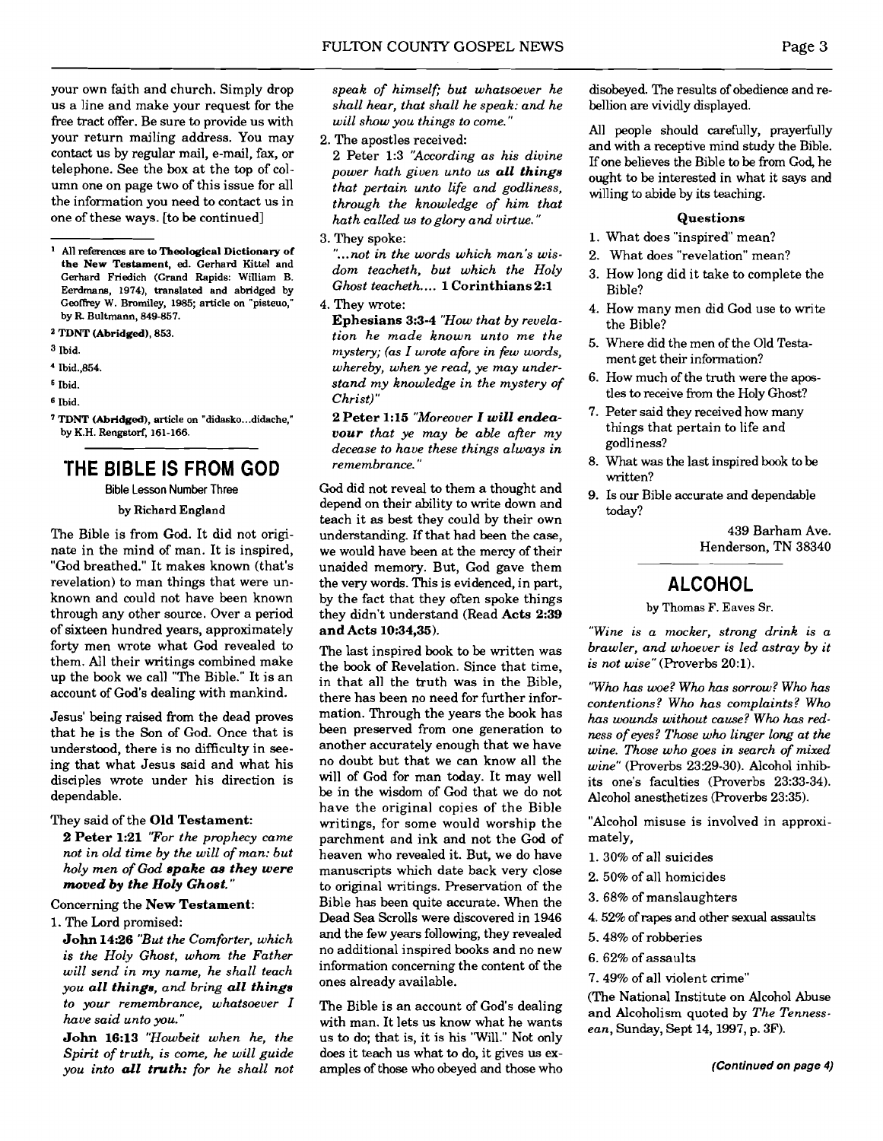your own faith and church. Simply drop us a line and make your request for the free tract offer. Be sure to provide us with your return mailing address. You may contact us by regular mail, e-mail, fax, or telephone. See the **box** at the top of column one on page two of this issue for all the information you need to contact us in one of these ways. [to be continued.] m one on page two of this issue for all<br>the information you need to contact us in<br>the of these ways. [to be continued]<br>All references are to Theological Dictionary of

**the New Testament, ed. Gerhard Kittel and Gerhard Friedich (Grand Rapids: William B. Eerdmans, 1974), translated and abridged by**  Geoffrey W. Bromiley, 1985; article on "pisteuo," **by R Bultmann, 849-857.** 

- **<sup>a</sup>TDNT (Abridged), 853.**
- **3 Ibid.**
- ' **Ibid.,854.**
- **Ibid.**
- **<sup>6</sup>Ibid.**
- **TDNT (Abridged), article on "didasko** ... **didache," by K.H. Rengstorf, 161-166.**

## **'THE BIBLE IS FROM GOD**

**Bible Lesson Number Three** 

by Richard England

The Bible is from God. It did not originate in the mind of man. It is inspired, "God breathed." It makes known (that's revelation) to man things that were unknown and could not have been known through any other source. Over a period of sixteen hundred years, approximately forty men wrote what God revealed to them. All their writings combined make up the book we call "The Bible." It is an account of God's dealing with mankind.

Jesus' being raised from the dead proves that he is the Son of God. Once that is understood, there is no difficulty in seeing that what Jesus said and what his disciples wrote under his direction is dependable.

They said of the Old Testament:

2 Peter 1:21 *"For the prophecy came not in old time by the will of man: but holy men of God spake as they were moved by the Holy Ghost.* "

Concerning the New Testament:

1. The Lord promised:

John 14:26 "But the Comforter, which *is the Holy Ghost, whom the Father will send in my name, he shall teach you all things, and bring all things to your remembrance, whatsoever I have said unto pu."* 

John 16:13 *"Howbeit when he, the Spirit of truth, is come, he will guide you into all truth: for he shall not*  *speak of himself; but whatsoever he shall hear, that shall he speak: and he will show you things to come."* 

2. The apostles received:

2 Peter 1:3 *'According as his divine power hath given unto us all things that pertain unto life and godliness, through the knowledge of him that hath called us to glory and virtue."* 

3. They spoke:

*"...not in the words which man's wisdom teacheth, but which the Holy Ghost teacheth* .... 1 Corinthians 2:l

4. They wrote:

Ephesians 3:s-4 *"How that by revelation he made known unto me the mystery; (as I wrote afore in few words, whereby, when ye read, ye may understand my knowledge in the mystery of Christ)* "

2 Peter 1:15 *"Moreover I will endeavour that ye may be able after my decease to have these things always in remembrance."* 

God did not reveal to them a thought and depend on their ability to write down and teach it as best they could by their own understanding. If that had been the case, we would have been at the mercy of their unaided memory. But, God gave them the very words. This is evidenced, in part, by the fact that they often spoke things they didn't understand (Read Acts 2:39 and Acts 10:34,35).

The last inspired book to be written was the book of Revelation. Since that time, in that all the truth was in the Bible, there has been no need for further information. Through the years the book has been preserved from one generation to another accurately enough that we have no doubt but that we can know all the will of God for man today. It may well be in the wisdom of God that we do not have the original copies of the Bible writings, for some would worship the parchment and ink and not the God of heaven who revealed it. But, we do have manuscripts which date back very close to original writings. Preservation of the Bible has been quite accurate. When the Dead Sea Scrolls were discovered in 1946 and the few years following, they revealed no additional inspired books and no new information concerning the content of the ones already available.

The Bible is an account of God's dealing with man. It lets us know what he wants us to do; that is, it is his "Will." Not only does it teach us what to do, it gives us examples of those who obeyed and those who

disobeyed. The results of obedience and rebellion **are** vividly displayed.

All people should carefully, prayerfully and with a receptive mind study the Bible. If one believes the Bible to be from **God,** he ought to be interested in what it says and willing to abide by its teaching.

#### Questions

- 1. What does "inspired" mean?
- 2. What does "revelation" mean?
- 3. How long did it take to complete the Bible?
- 4. How many men did God use to write the Bible?
- 5. Where did the men of the Old Testament get their information?
- 6. How much of the truth were the apostles to receive from the Holy Ghost?
- 7. Peter said they received how many things that pertain to life and godliness?
- 8. What was the last inspired book to be written?
- 9. Is our Bible accurate and dependable today?

439 Barham Ave. Henderson, TN 38340

## **ALCOHOL**

by Thomas F. Eaves **ST.** 

*"Wine is a mocker, strong drink is a brawler, and whoever is led astray by it is not wise"* (Proverbs 20:l).

*'Who has woe? Who has sorrow? Who has contentions? Who has complaints? Who has wounds without cause? Who has redness of eyes? Those who linger long at the wine. Those who goes in search of mixed wine"* (Proverbs 23:29-30). Alcohol inhibits one's faculties (Proverbs 23:33-34). Alcohol anesthetizes (Proverbs 23:35).

"Alcohol misuse is involved in approximately,

- 1. 30% of all suicides
- 2. 50% of all homicides
- 3.68% of manslaughters
- 4.52% of rapes and other **sexual** assaults
- 5.48% of robberies
- 6. 62% of assaults
- 7.49% of all violent crime"

(The National Institute on Alcohol Abuse and Alcoholism quoted by *The Tennessean,* Sunday, Sept 14,1997, p. **3F).**